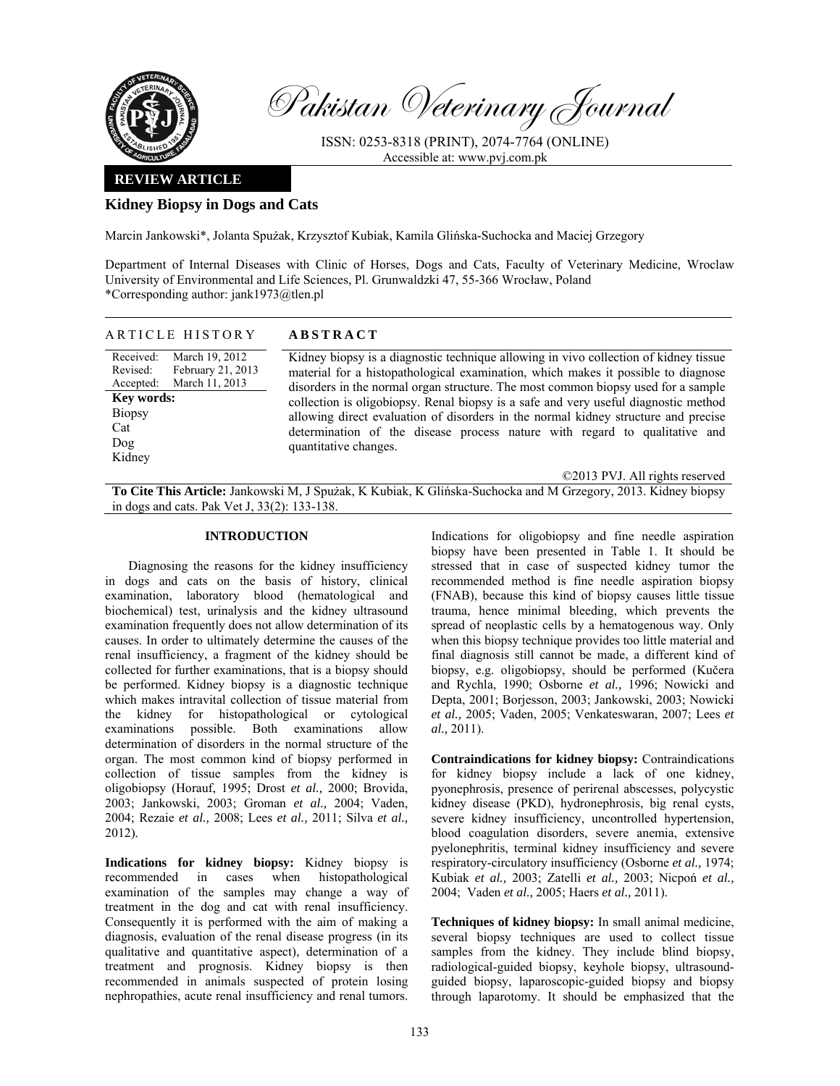

Pakistan Veterinary Journal

ISSN: 0253-8318 (PRINT), 2074-7764 (ONLINE) Accessible at: www.pvj.com.pk

## **REVIEW ARTICLE**

## **Kidney Biopsy in Dogs and Cats**

Marcin Jankowski\*, Jolanta Spużak, Krzysztof Kubiak, Kamila Glińska-Suchocka and Maciej Grzegory

Department of Internal Diseases with Clinic of Horses, Dogs and Cats, Faculty of Veterinary Medicine, Wroclaw University of Environmental and Life Sciences, Pl. Grunwaldzki 47, 55-366 Wrocław, Poland \*Corresponding author: jank1973@tlen.pl

| ARTICLE HISTORY                                                                                                                                    | <b>ABSTRACT</b>                                                                                                                                                                                                                                                                                                                                                                                                                                                                                                                                                                      |
|----------------------------------------------------------------------------------------------------------------------------------------------------|--------------------------------------------------------------------------------------------------------------------------------------------------------------------------------------------------------------------------------------------------------------------------------------------------------------------------------------------------------------------------------------------------------------------------------------------------------------------------------------------------------------------------------------------------------------------------------------|
| March 19, 2012<br>Received:<br>February 21, 2013<br>Revised:<br>March 11, 2013<br>Accepted:<br>Key words:<br><b>Biopsy</b><br>Cat<br>Dog<br>Kidney | Kidney biopsy is a diagnostic technique allowing in vivo collection of kidney tissue<br>material for a histopathological examination, which makes it possible to diagnose<br>disorders in the normal organ structure. The most common biopsy used for a sample<br>collection is oligobiopsy. Renal biopsy is a safe and very useful diagnostic method<br>allowing direct evaluation of disorders in the normal kidney structure and precise<br>determination of the disease process nature with regard to qualitative and<br>quantitative changes.<br>©2013 PVJ. All rights reserved |
|                                                                                                                                                    |                                                                                                                                                                                                                                                                                                                                                                                                                                                                                                                                                                                      |

**To Cite This Article:** Jankowski M, J Spużak, K Kubiak, K Glińska-Suchocka and M Grzegory, 2013. Kidney biopsy in dogs and cats. Pak Vet J, 33(2): 133-138.

## **INTRODUCTION**

Diagnosing the reasons for the kidney insufficiency in dogs and cats on the basis of history, clinical examination, laboratory blood (hematological and biochemical) test, urinalysis and the kidney ultrasound examination frequently does not allow determination of its causes. In order to ultimately determine the causes of the renal insufficiency, a fragment of the kidney should be collected for further examinations, that is a biopsy should be performed. Kidney biopsy is a diagnostic technique which makes intravital collection of tissue material from the kidney for histopathological or cytological examinations possible. Both examinations allow determination of disorders in the normal structure of the organ. The most common kind of biopsy performed in collection of tissue samples from the kidney is oligobiopsy (Horauf, 1995; Drost *et al.,* 2000; Brovida, 2003; Jankowski, 2003; Groman *et al.,* 2004; Vaden, 2004; Rezaie *et al.,* 2008; Lees *et al.,* 2011; Silva *et al.,* 2012).

**Indications for kidney biopsy:** Kidney biopsy is recommended in cases when histopathological examination of the samples may change a way of treatment in the dog and cat with renal insufficiency. Consequently it is performed with the aim of making a diagnosis, evaluation of the renal disease progress (in its qualitative and quantitative aspect), determination of a treatment and prognosis. Kidney biopsy is then recommended in animals suspected of protein losing nephropathies, acute renal insufficiency and renal tumors. Indications for oligobiopsy and fine needle aspiration biopsy have been presented in Table 1. It should be stressed that in case of suspected kidney tumor the recommended method is fine needle aspiration biopsy (FNAB), because this kind of biopsy causes little tissue trauma, hence minimal bleeding, which prevents the spread of neoplastic cells by a hematogenous way. Only when this biopsy technique provides too little material and final diagnosis still cannot be made, a different kind of biopsy, e.g. oligobiopsy, should be performed (Kučera and Rychla, 1990; Osborne *et al.,* 1996; Nowicki and Depta, 2001; Borjesson, 2003; Jankowski, 2003; Nowicki *et al.,* 2005; Vaden, 2005; Venkateswaran, 2007; Lees *et al.,* 2011).

**Contraindications for kidney biopsy:** Contraindications for kidney biopsy include a lack of one kidney, pyonephrosis, presence of perirenal abscesses, polycystic kidney disease (PKD), hydronephrosis, big renal cysts, severe kidney insufficiency, uncontrolled hypertension, blood coagulation disorders, severe anemia, extensive pyelonephritis, terminal kidney insufficiency and severe respiratory-circulatory insufficiency (Osborne *et al.,* 1974; Kubiak *et al.,* 2003; Zatelli *et al.,* 2003; Nicpoń *et al.,* 2004; Vaden *et al.,* 2005; Haers *et al.,* 2011).

**Techniques of kidney biopsy:** In small animal medicine, several biopsy techniques are used to collect tissue samples from the kidney. They include blind biopsy, radiological-guided biopsy, keyhole biopsy, ultrasoundguided biopsy, laparoscopic-guided biopsy and biopsy through laparotomy. It should be emphasized that the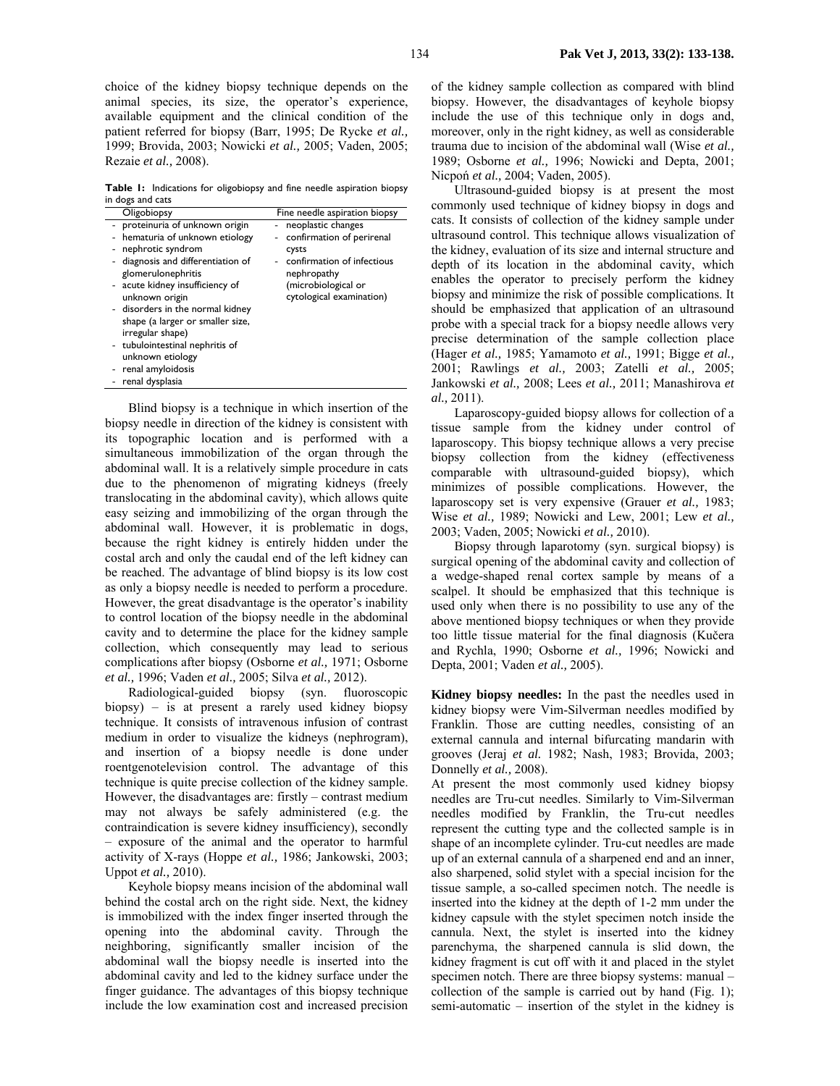choice of the kidney biopsy technique depends on the animal species, its size, the operator's experience, available equipment and the clinical condition of the patient referred for biopsy (Barr, 1995; De Rycke *et al.,* 1999; Brovida, 2003; Nowicki *et al.,* 2005; Vaden, 2005; Rezaie *et al.,* 2008).

**Table 1:** Indications for oligobiopsy and fine needle aspiration biopsy in dogs and cats

| Oligobiopsy                                                                                                                                                                                                                                                                                                                                                                                     | Fine needle aspiration biopsy                                                                                                                            |
|-------------------------------------------------------------------------------------------------------------------------------------------------------------------------------------------------------------------------------------------------------------------------------------------------------------------------------------------------------------------------------------------------|----------------------------------------------------------------------------------------------------------------------------------------------------------|
| - proteinuria of unknown origin<br>hematuria of unknown etiology<br>nephrotic syndrom<br>diagnosis and differentiation of<br>glomerulonephritis<br>- acute kidney insufficiency of<br>unknown origin<br>- disorders in the normal kidney<br>shape (a larger or smaller size,<br>irregular shape)<br>- tubulointestinal nephritis of<br>unknown etiology<br>renal amyloidosis<br>renal dysplasia | neoplastic changes<br>confirmation of perirenal<br>Cysts<br>confirmation of infectious<br>nephropathy<br>(microbiological or<br>cytological examination) |
|                                                                                                                                                                                                                                                                                                                                                                                                 |                                                                                                                                                          |

Blind biopsy is a technique in which insertion of the biopsy needle in direction of the kidney is consistent with its topographic location and is performed with a simultaneous immobilization of the organ through the abdominal wall. It is a relatively simple procedure in cats due to the phenomenon of migrating kidneys (freely translocating in the abdominal cavity), which allows quite easy seizing and immobilizing of the organ through the abdominal wall. However, it is problematic in dogs, because the right kidney is entirely hidden under the costal arch and only the caudal end of the left kidney can be reached. The advantage of blind biopsy is its low cost as only a biopsy needle is needed to perform a procedure. However, the great disadvantage is the operator's inability to control location of the biopsy needle in the abdominal cavity and to determine the place for the kidney sample collection, which consequently may lead to serious complications after biopsy (Osborne *et al.,* 1971; Osborne *et al.,* 1996; Vaden *et al.,* 2005; Silva *et al.,* 2012).

Radiological-guided biopsy (syn. fluoroscopic biopsy) – is at present a rarely used kidney biopsy technique. It consists of intravenous infusion of contrast medium in order to visualize the kidneys (nephrogram), and insertion of a biopsy needle is done under roentgenotelevision control. The advantage of this technique is quite precise collection of the kidney sample. However, the disadvantages are: firstly – contrast medium may not always be safely administered (e.g. the contraindication is severe kidney insufficiency), secondly – exposure of the animal and the operator to harmful activity of X-rays (Hoppe *et al.,* 1986; Jankowski, 2003; Uppot *et al.,* 2010).

Keyhole biopsy means incision of the abdominal wall behind the costal arch on the right side. Next, the kidney is immobilized with the index finger inserted through the opening into the abdominal cavity. Through the neighboring, significantly smaller incision of the abdominal wall the biopsy needle is inserted into the abdominal cavity and led to the kidney surface under the finger guidance. The advantages of this biopsy technique include the low examination cost and increased precision

of the kidney sample collection as compared with blind biopsy. However, the disadvantages of keyhole biopsy include the use of this technique only in dogs and, moreover, only in the right kidney, as well as considerable trauma due to incision of the abdominal wall (Wise *et al.,* 1989; Osborne *et al.,* 1996; Nowicki and Depta, 2001; Nicpoń *et al.,* 2004; Vaden, 2005).

Ultrasound-guided biopsy is at present the most commonly used technique of kidney biopsy in dogs and cats. It consists of collection of the kidney sample under ultrasound control. This technique allows visualization of the kidney, evaluation of its size and internal structure and depth of its location in the abdominal cavity, which enables the operator to precisely perform the kidney biopsy and minimize the risk of possible complications. It should be emphasized that application of an ultrasound probe with a special track for a biopsy needle allows very precise determination of the sample collection place (Hager *et al.,* 1985; Yamamoto *et al.,* 1991; Bigge *et al.,* 2001; Rawlings *et al.,* 2003; Zatelli *et al.,* 2005; Jankowski *et al.,* 2008; Lees *et al.,* 2011; Manashirova *et al.,* 2011).

Laparoscopy-guided biopsy allows for collection of a tissue sample from the kidney under control of laparoscopy. This biopsy technique allows a very precise biopsy collection from the kidney (effectiveness comparable with ultrasound-guided biopsy), which minimizes of possible complications. However, the laparoscopy set is very expensive (Grauer *et al.,* 1983; Wise *et al.,* 1989; Nowicki and Lew, 2001; Lew *et al.,* 2003; Vaden, 2005; Nowicki *et al.,* 2010).

Biopsy through laparotomy (syn. surgical biopsy) is surgical opening of the abdominal cavity and collection of a wedge-shaped renal cortex sample by means of a scalpel. It should be emphasized that this technique is used only when there is no possibility to use any of the above mentioned biopsy techniques or when they provide too little tissue material for the final diagnosis (Kučera and Rychla, 1990; Osborne *et al.,* 1996; Nowicki and Depta, 2001; Vaden *et al.,* 2005).

**Kidney biopsy needles:** In the past the needles used in kidney biopsy were Vim-Silverman needles modified by Franklin. Those are cutting needles, consisting of an external cannula and internal bifurcating mandarin with grooves (Jeraj *et al.* 1982; Nash, 1983; Brovida, 2003; Donnelly *et al.,* 2008).

At present the most commonly used kidney biopsy needles are Tru-cut needles. Similarly to Vim-Silverman needles modified by Franklin, the Tru-cut needles represent the cutting type and the collected sample is in shape of an incomplete cylinder. Tru-cut needles are made up of an external cannula of a sharpened end and an inner, also sharpened, solid stylet with a special incision for the tissue sample, a so-called specimen notch. The needle is inserted into the kidney at the depth of 1-2 mm under the kidney capsule with the stylet specimen notch inside the cannula. Next, the stylet is inserted into the kidney parenchyma, the sharpened cannula is slid down, the kidney fragment is cut off with it and placed in the stylet specimen notch. There are three biopsy systems: manual – collection of the sample is carried out by hand (Fig. 1); semi-automatic – insertion of the stylet in the kidney is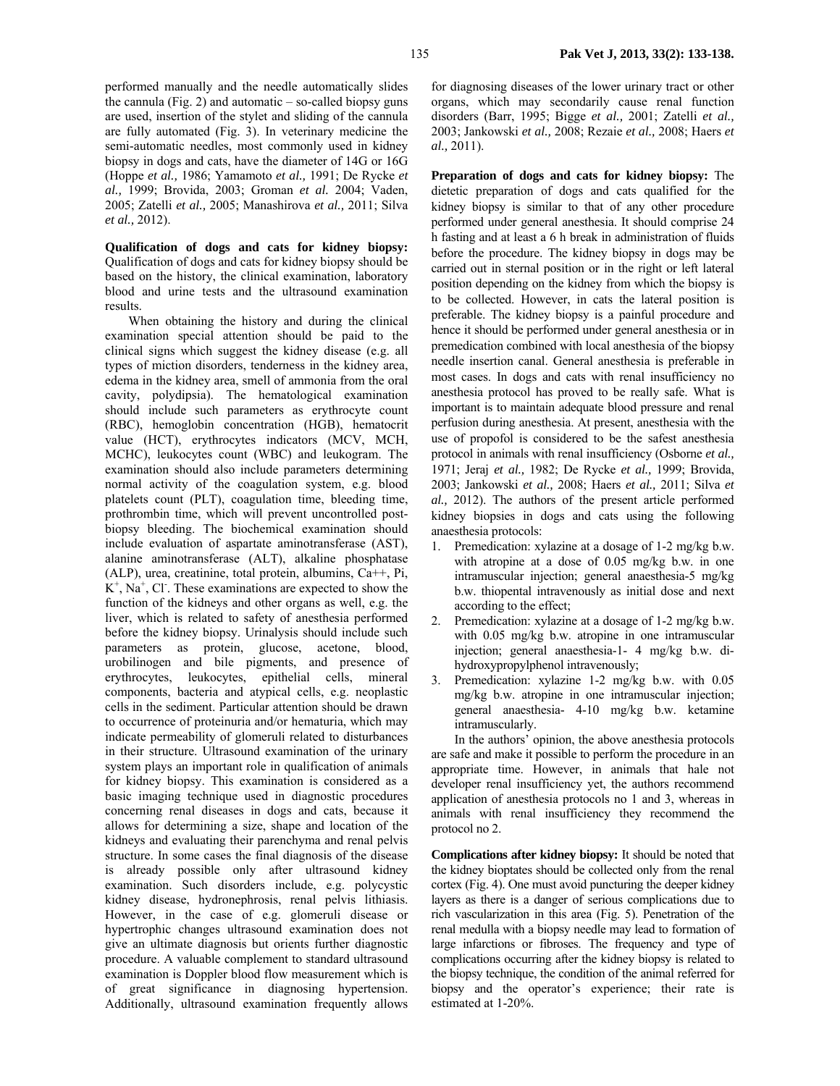performed manually and the needle automatically slides the cannula (Fig. 2) and automatic  $-$  so-called biopsy guns are used, insertion of the stylet and sliding of the cannula are fully automated (Fig. 3). In veterinary medicine the semi-automatic needles, most commonly used in kidney biopsy in dogs and cats, have the diameter of 14G or 16G (Hoppe *et al.,* 1986; Yamamoto *et al.,* 1991; De Rycke *et al.,* 1999; Brovida, 2003; Groman *et al.* 2004; Vaden, 2005; Zatelli *et al.,* 2005; Manashirova *et al.,* 2011; Silva *et al.,* 2012).

**Qualification of dogs and cats for kidney biopsy:**  Qualification of dogs and cats for kidney biopsy should be based on the history, the clinical examination, laboratory blood and urine tests and the ultrasound examination results.

When obtaining the history and during the clinical examination special attention should be paid to the clinical signs which suggest the kidney disease (e.g. all types of miction disorders, tenderness in the kidney area, edema in the kidney area, smell of ammonia from the oral cavity, polydipsia). The hematological examination should include such parameters as erythrocyte count (RBC), hemoglobin concentration (HGB), hematocrit value (HCT), erythrocytes indicators (MCV, MCH, MCHC), leukocytes count (WBC) and leukogram. The examination should also include parameters determining normal activity of the coagulation system, e.g. blood platelets count (PLT), coagulation time, bleeding time, prothrombin time, which will prevent uncontrolled postbiopsy bleeding. The biochemical examination should include evaluation of aspartate aminotransferase (AST), alanine aminotransferase (ALT), alkaline phosphatase (ALP), urea, creatinine, total protein, albumins, Ca++, Pi,  $K^+$ ,  $Na^+$ , Cl<sup>-</sup>. These examinations are expected to show the function of the kidneys and other organs as well, e.g. the liver, which is related to safety of anesthesia performed before the kidney biopsy. Urinalysis should include such parameters as protein, glucose, acetone, blood, urobilinogen and bile pigments, and presence of erythrocytes, leukocytes, epithelial cells, mineral components, bacteria and atypical cells, e.g. neoplastic cells in the sediment. Particular attention should be drawn to occurrence of proteinuria and/or hematuria, which may indicate permeability of glomeruli related to disturbances in their structure. Ultrasound examination of the urinary system plays an important role in qualification of animals for kidney biopsy. This examination is considered as a basic imaging technique used in diagnostic procedures concerning renal diseases in dogs and cats, because it allows for determining a size, shape and location of the kidneys and evaluating their parenchyma and renal pelvis structure. In some cases the final diagnosis of the disease is already possible only after ultrasound kidney examination. Such disorders include, e.g. polycystic kidney disease, hydronephrosis, renal pelvis lithiasis. However, in the case of e.g. glomeruli disease or hypertrophic changes ultrasound examination does not give an ultimate diagnosis but orients further diagnostic procedure. A valuable complement to standard ultrasound examination is Doppler blood flow measurement which is of great significance in diagnosing hypertension. Additionally, ultrasound examination frequently allows

for diagnosing diseases of the lower urinary tract or other organs, which may secondarily cause renal function disorders (Barr, 1995; Bigge *et al.,* 2001; Zatelli *et al.,* 2003; Jankowski *et al.,* 2008; Rezaie *et al.,* 2008; Haers *et al.,* 2011).

**Preparation of dogs and cats for kidney biopsy:** The dietetic preparation of dogs and cats qualified for the kidney biopsy is similar to that of any other procedure performed under general anesthesia. It should comprise 24 h fasting and at least a 6 h break in administration of fluids before the procedure. The kidney biopsy in dogs may be carried out in sternal position or in the right or left lateral position depending on the kidney from which the biopsy is to be collected. However, in cats the lateral position is preferable. The kidney biopsy is a painful procedure and hence it should be performed under general anesthesia or in premedication combined with local anesthesia of the biopsy needle insertion canal. General anesthesia is preferable in most cases. In dogs and cats with renal insufficiency no anesthesia protocol has proved to be really safe. What is important is to maintain adequate blood pressure and renal perfusion during anesthesia. At present, anesthesia with the use of propofol is considered to be the safest anesthesia protocol in animals with renal insufficiency (Osborne *et al.,* 1971; Jeraj *et al.,* 1982; De Rycke *et al.,* 1999; Brovida, 2003; Jankowski *et al.,* 2008; Haers *et al.,* 2011; Silva *et al.,* 2012). The authors of the present article performed kidney biopsies in dogs and cats using the following anaesthesia protocols:

- 1. Premedication: xylazine at a dosage of 1-2 mg/kg b.w. with atropine at a dose of 0.05 mg/kg b.w. in one intramuscular injection; general anaesthesia-5 mg/kg b.w. thiopental intravenously as initial dose and next according to the effect;
- 2. Premedication: xylazine at a dosage of 1-2 mg/kg b.w. with 0.05 mg/kg b.w. atropine in one intramuscular injection; general anaesthesia-1- 4 mg/kg b.w. dihydroxypropylphenol intravenously;
- 3. Premedication: xylazine 1-2 mg/kg b.w. with 0.05 mg/kg b.w. atropine in one intramuscular injection; general anaesthesia- 4-10 mg/kg b.w. ketamine intramuscularly.

In the authors' opinion, the above anesthesia protocols are safe and make it possible to perform the procedure in an appropriate time. However, in animals that hale not developer renal insufficiency yet, the authors recommend application of anesthesia protocols no 1 and 3, whereas in animals with renal insufficiency they recommend the protocol no 2.

**Complications after kidney biopsy:** It should be noted that the kidney bioptates should be collected only from the renal cortex (Fig. 4). One must avoid puncturing the deeper kidney layers as there is a danger of serious complications due to rich vascularization in this area (Fig. 5). Penetration of the renal medulla with a biopsy needle may lead to formation of large infarctions or fibroses. The frequency and type of complications occurring after the kidney biopsy is related to the biopsy technique, the condition of the animal referred for biopsy and the operator's experience; their rate is estimated at 1-20%.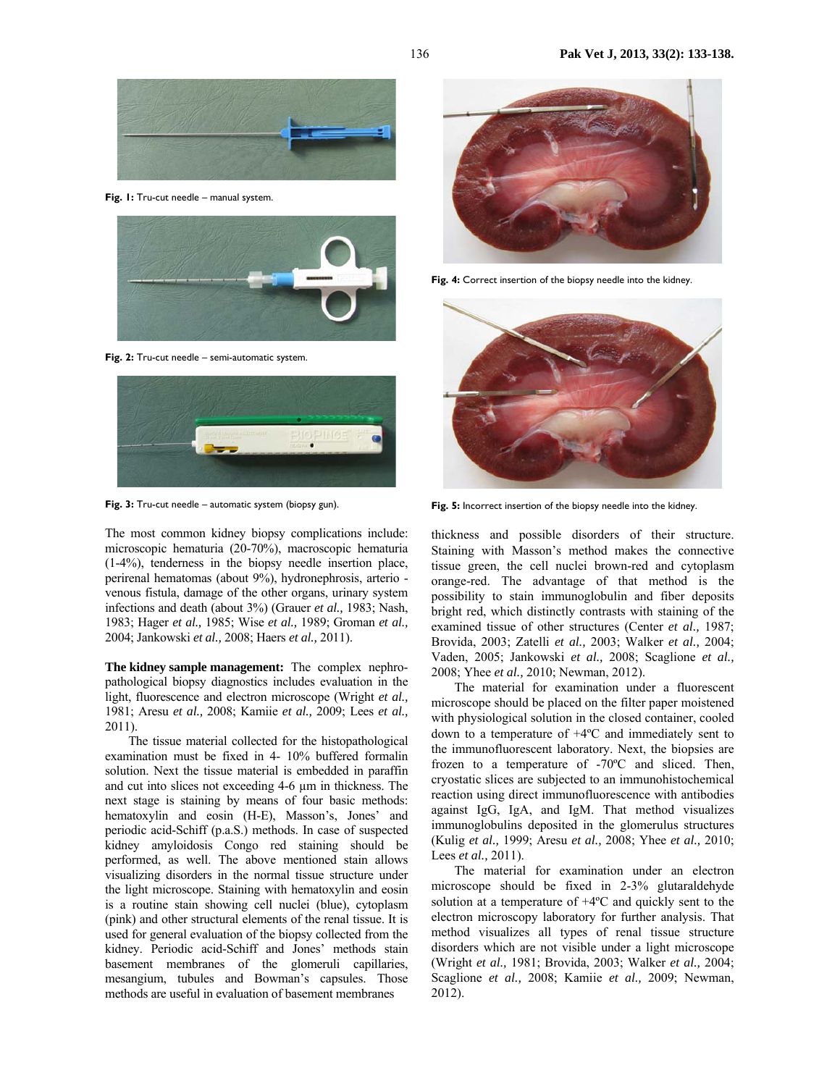

**Fig. 1:** Tru-cut needle – manual system.



**Fig. 2:** Tru-cut needle – semi-automatic system.



Fig. 3: Tru-cut needle – automatic system (biopsy gun).

The most common kidney biopsy complications include: microscopic hematuria (20-70%), macroscopic hematuria (1-4%), tenderness in the biopsy needle insertion place, perirenal hematomas (about 9%), hydronephrosis, arterio venous fistula, damage of the other organs, urinary system infections and death (about 3%) (Grauer *et al.,* 1983; Nash, 1983; Hager *et al.,* 1985; Wise *et al.,* 1989; Groman *et al.,* 2004; Jankowski *et al.,* 2008; Haers *et al.,* 2011).

**The kidney sample management:** The complex nephropathological biopsy diagnostics includes evaluation in the light, fluorescence and electron microscope (Wright *et al.,* 1981; Aresu *et al.,* 2008; Kamiie *et al.,* 2009; Lees *et al.,* 2011).

The tissue material collected for the histopathological examination must be fixed in 4- 10% buffered formalin solution. Next the tissue material is embedded in paraffin and cut into slices not exceeding 4-6 µm in thickness. The next stage is staining by means of four basic methods: hematoxylin and eosin (H-E), Masson's, Jones' and periodic acid-Schiff (p.a.S.) methods. In case of suspected kidney amyloidosis Congo red staining should be performed, as well. The above mentioned stain allows visualizing disorders in the normal tissue structure under the light microscope. Staining with hematoxylin and eosin is a routine stain showing cell nuclei (blue), cytoplasm (pink) and other structural elements of the renal tissue. It is used for general evaluation of the biopsy collected from the kidney. Periodic acid-Schiff and Jones' methods stain basement membranes of the glomeruli capillaries, mesangium, tubules and Bowman's capsules. Those methods are useful in evaluation of basement membranes



**Fig. 4:** Correct insertion of the biopsy needle into the kidney.



**Fig. 5:** Incorrect insertion of the biopsy needle into the kidney.

thickness and possible disorders of their structure. Staining with Masson's method makes the connective tissue green, the cell nuclei brown-red and cytoplasm orange-red. The advantage of that method is the possibility to stain immunoglobulin and fiber deposits bright red, which distinctly contrasts with staining of the examined tissue of other structures (Center *et al.,* 1987; Brovida, 2003; Zatelli *et al.,* 2003; Walker *et al.,* 2004; Vaden, 2005; Jankowski *et al.,* 2008; Scaglione *et al.,* 2008; Yhee *et al.,* 2010; Newman, 2012).

The material for examination under a fluorescent microscope should be placed on the filter paper moistened with physiological solution in the closed container, cooled down to a temperature of +4ºC and immediately sent to the immunofluorescent laboratory. Next, the biopsies are frozen to a temperature of -70ºC and sliced. Then, cryostatic slices are subjected to an immunohistochemical reaction using direct immunofluorescence with antibodies against IgG, IgA, and IgM. That method visualizes immunoglobulins deposited in the glomerulus structures (Kulig *et al.,* 1999; Aresu *et al.,* 2008; Yhee *et al.,* 2010; Lees *et al.,* 2011).

The material for examination under an electron microscope should be fixed in 2-3% glutaraldehyde solution at a temperature of +4ºC and quickly sent to the electron microscopy laboratory for further analysis. That method visualizes all types of renal tissue structure disorders which are not visible under a light microscope (Wright *et al.,* 1981; Brovida, 2003; Walker *et al.,* 2004; Scaglione *et al.,* 2008; Kamiie *et al.,* 2009; Newman, 2012).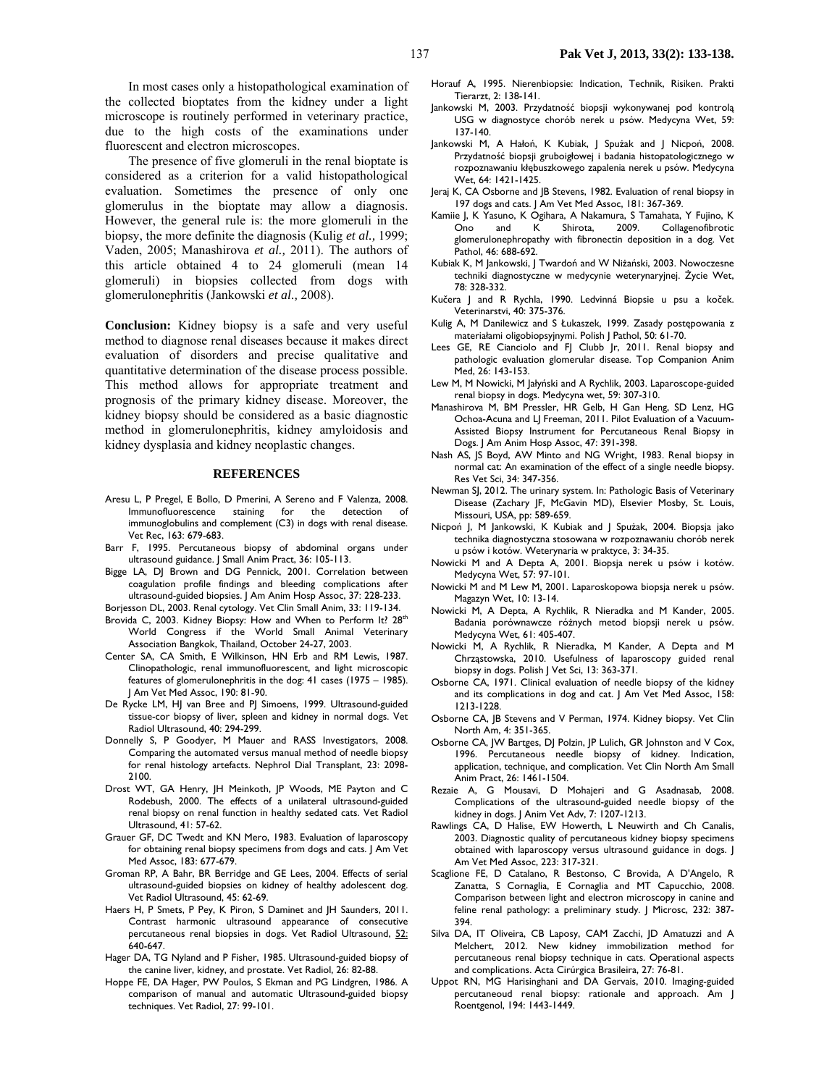In most cases only a histopathological examination of the collected bioptates from the kidney under a light microscope is routinely performed in veterinary practice, due to the high costs of the examinations under fluorescent and electron microscopes.

The presence of five glomeruli in the renal bioptate is considered as a criterion for a valid histopathological evaluation. Sometimes the presence of only one glomerulus in the bioptate may allow a diagnosis. However, the general rule is: the more glomeruli in the biopsy, the more definite the diagnosis (Kulig *et al.,* 1999; Vaden, 2005; Manashirova *et al.,* 2011). The authors of this article obtained 4 to 24 glomeruli (mean 14 glomeruli) in biopsies collected from dogs with glomerulonephritis (Jankowski *et al.,* 2008).

**Conclusion:** Kidney biopsy is a safe and very useful method to diagnose renal diseases because it makes direct evaluation of disorders and precise qualitative and quantitative determination of the disease process possible. This method allows for appropriate treatment and prognosis of the primary kidney disease. Moreover, the kidney biopsy should be considered as a basic diagnostic method in glomerulonephritis, kidney amyloidosis and kidney dysplasia and kidney neoplastic changes.

## **REFERENCES**

- Aresu L, P Pregel, E Bollo, D Pmerini, A Sereno and F Valenza, 2008. Immunofluorescence staining for the detection of immunoglobulins and complement (C3) in dogs with renal disease. Vet Rec, 163: 679-683.
- Barr F, 1995. Percutaneous biopsy of abdominal organs under ultrasound guidance. J Small Anim Pract, 36: 105-113.
- Bigge LA, DJ Brown and DG Pennick, 2001. Correlation between coagulation profile findings and bleeding complications after ultrasound-guided biopsies. J Am Anim Hosp Assoc, 37: 228-233.
- Borjesson DL, 2003. Renal cytology. Vet Clin Small Anim, 33: 119-134.
- Brovida C, 2003. Kidney Biopsy: How and When to Perform It? 28<sup>th</sup> World Congress if the World Small Animal Veterinary Association Bangkok, Thailand, October 24-27, 2003.
- Center SA, CA Smith, E Wilkinson, HN Erb and RM Lewis, 1987. Clinopathologic, renal immunofluorescent, and light microscopic features of glomerulonephritis in the dog: 41 cases (1975 – 1985). J Am Vet Med Assoc, 190: 81-90.
- De Rycke LM, HJ van Bree and PJ Simoens, 1999. Ultrasound-guided tissue-cor biopsy of liver, spleen and kidney in normal dogs. Vet Radiol Ultrasound, 40: 294-299.
- Donnelly S, P Goodyer, M Mauer and RASS Investigators, 2008. Comparing the automated versus manual method of needle biopsy for renal histology artefacts. Nephrol Dial Transplant, 23: 2098- 2100.
- Drost WT, GA Henry, JH Meinkoth, JP Woods, ME Payton and C Rodebush, 2000. The effects of a unilateral ultrasound-guided renal biopsy on renal function in healthy sedated cats. Vet Radiol Ultrasound, 41: 57-62.
- Grauer GF, DC Twedt and KN Mero, 1983. Evaluation of laparoscopy for obtaining renal biopsy specimens from dogs and cats. J Am Vet Med Assoc, 183: 677-679.
- Groman RP, A Bahr, BR Berridge and GE Lees, 2004. Effects of serial ultrasound-guided biopsies on kidney of healthy adolescent dog. Vet Radiol Ultrasound, 45: 62-69.
- Haers H, P Smets, P Pey, K Piron, S Daminet and JH Saunders, 2011. Contrast harmonic ultrasound appearance of consecutive percutaneous renal biopsies in dogs. Vet Radiol Ultrasound, 52: 640-647.
- Hager DA, TG Nyland and P Fisher, 1985. Ultrasound-guided biopsy of the canine liver, kidney, and prostate. Vet Radiol, 26: 82-88.
- Hoppe FE, DA Hager, PW Poulos, S Ekman and PG Lindgren, 1986. A comparison of manual and automatic Ultrasound-guided biopsy techniques. Vet Radiol, 27: 99-101.
- Horauf A, 1995. Nierenbiopsie: Indication, Technik, Risiken. Prakti Tierarzt, 2: 138-141.
- Jankowski M, 2003. Przydatność biopsji wykonywanej pod kontrolą USG w diagnostyce chorób nerek u psów. Medycyna Wet, 59: 137-140.
- Jankowski M, A Hałoń, K Kubiak, J Spużak and J Nicpoń, 2008. Przydatność biopsji gruboigłowej i badania histopatologicznego w rozpoznawaniu kłębuszkowego zapalenia nerek u psów. Medycyna Wet, 64: 1421-1425.
- Jeraj K, CA Osborne and JB Stevens, 1982. Evaluation of renal biopsy in 197 dogs and cats. J Am Vet Med Assoc, 181: 367-369.
- Kamiie J, K Yasuno, K Ogihara, A Nakamura, S Tamahata, Y Fujino, K<br>Ono and K Shirota, 2009. Collagenofibrotic Ono and K Shirota, 2009. Collagenofibrotic glomerulonephropathy with fibronectin deposition in a dog. Vet Pathol, 46: 688-692.
- Kubiak K, M Jankowski, J Twardoń and W Niżański, 2003. Nowoczesne techniki diagnostyczne w medycynie weterynaryjnej. Życie Wet, 78: 328-332.
- Kučera J and R Rychla, 1990. Ledvinná Biopsie u psu a koček. Veterinarstvi, 40: 375-376.
- Kulig A, M Danilewicz and S Łukaszek, 1999. Zasady postępowania z materiałami oligobiopsyjnymi. Polish J Pathol, 50: 61-70.
- Lees GE, RE Cianciolo and FJ Clubb Jr, 2011. Renal biopsy and pathologic evaluation glomerular disease. Top Companion Anim Med, 26: 143-153.
- Lew M, M Nowicki, M Jałyński and A Rychlik, 2003. Laparoscope-guided renal biopsy in dogs. Medycyna wet, 59: 307-310.
- Manashirova M, BM Pressler, HR Gelb, H Gan Heng, SD Lenz, HG Ochoa-Acuna and LJ Freeman, 2011. Pilot Evaluation of a Vacuum-Assisted Biopsy Instrument for Percutaneous Renal Biopsy in Dogs. J Am Anim Hosp Assoc, 47: 391-398.
- Nash AS, JS Boyd, AW Minto and NG Wright, 1983. Renal biopsy in normal cat: An examination of the effect of a single needle biopsy. Res Vet Sci, 34: 347-356.
- Newman SJ, 2012. The urinary system. In: Pathologic Basis of Veterinary Disease (Zachary JF, McGavin MD), Elsevier Mosby, St. Louis, Missouri, USA, pp: 589-659.
- Nicpoń J, M Jankowski, K Kubiak and J Spużak, 2004. Biopsja jako technika diagnostyczna stosowana w rozpoznawaniu chorób nerek u psów i kotów. Weterynaria w praktyce, 3: 34-35.
- Nowicki M and A Depta A, 2001. Biopsja nerek u psów i kotów. Medycyna Wet, 57: 97-101.
- Nowicki M and M Lew M, 2001. Laparoskopowa biopsja nerek u psów. Magazyn Wet, 10: 13-14.
- Nowicki M, A Depta, A Rychlik, R Nieradka and M Kander, 2005. Badania porównawcze różnych metod biopsji nerek u psów. Medycyna Wet, 61: 405-407.
- Nowicki M, A Rychlik, R Nieradka, M Kander, A Depta and M Chrząstowska, 2010. Usefulness of laparoscopy guided renal biopsy in dogs. Polish | Vet Sci, 13: 363-371.
- Osborne CA, 1971. Clinical evaluation of needle biopsy of the kidney and its complications in dog and cat. J Am Vet Med Assoc, 158: 1213-1228.
- Osborne CA, JB Stevens and V Perman, 1974. Kidney biopsy. Vet Clin North Am, 4: 351-365.
- Osborne CA, JW Bartges, DJ Polzin, JP Lulich, GR Johnston and V Cox, 1996. Percutaneous needle biopsy of kidney. Indication, application, technique, and complication. Vet Clin North Am Small Anim Pract, 26: 1461-1504.
- Rezaie A, G Mousavi, D Mohajeri and G Asadnasab, 2008. Complications of the ultrasound-guided needle biopsy of the kidney in dogs. J Anim Vet Adv, 7: 1207-1213.
- Rawlings CA, D Halise, EW Howerth, L Neuwirth and Ch Canalis, 2003. Diagnostic quality of percutaneous kidney biopsy specimens obtained with laparoscopy versus ultrasound guidance in dogs. J Am Vet Med Assoc, 223: 317-321.
- Scaglione FE, D Catalano, R Bestonso, C Brovida, A D'Angelo, R Zanatta, S Cornaglia, E Cornaglia and MT Capucchio, 2008. Comparison between light and electron microscopy in canine and feline renal pathology: a preliminary study. J Microsc, 232: 387- 394.
- Silva DA, IT Oliveira, CB Laposy, CAM Zacchi, JD Amatuzzi and A Melchert, 2012. New kidney immobilization method for percutaneous renal biopsy technique in cats. Operational aspects and complications. Acta Cirúrgica Brasileira, 27: 76-81.
- Uppot RN, MG Harisinghani and DA Gervais, 2010. Imaging-guided percutaneoud renal biopsy: rationale and approach. Am J Roentgenol, 194: 1443-1449.